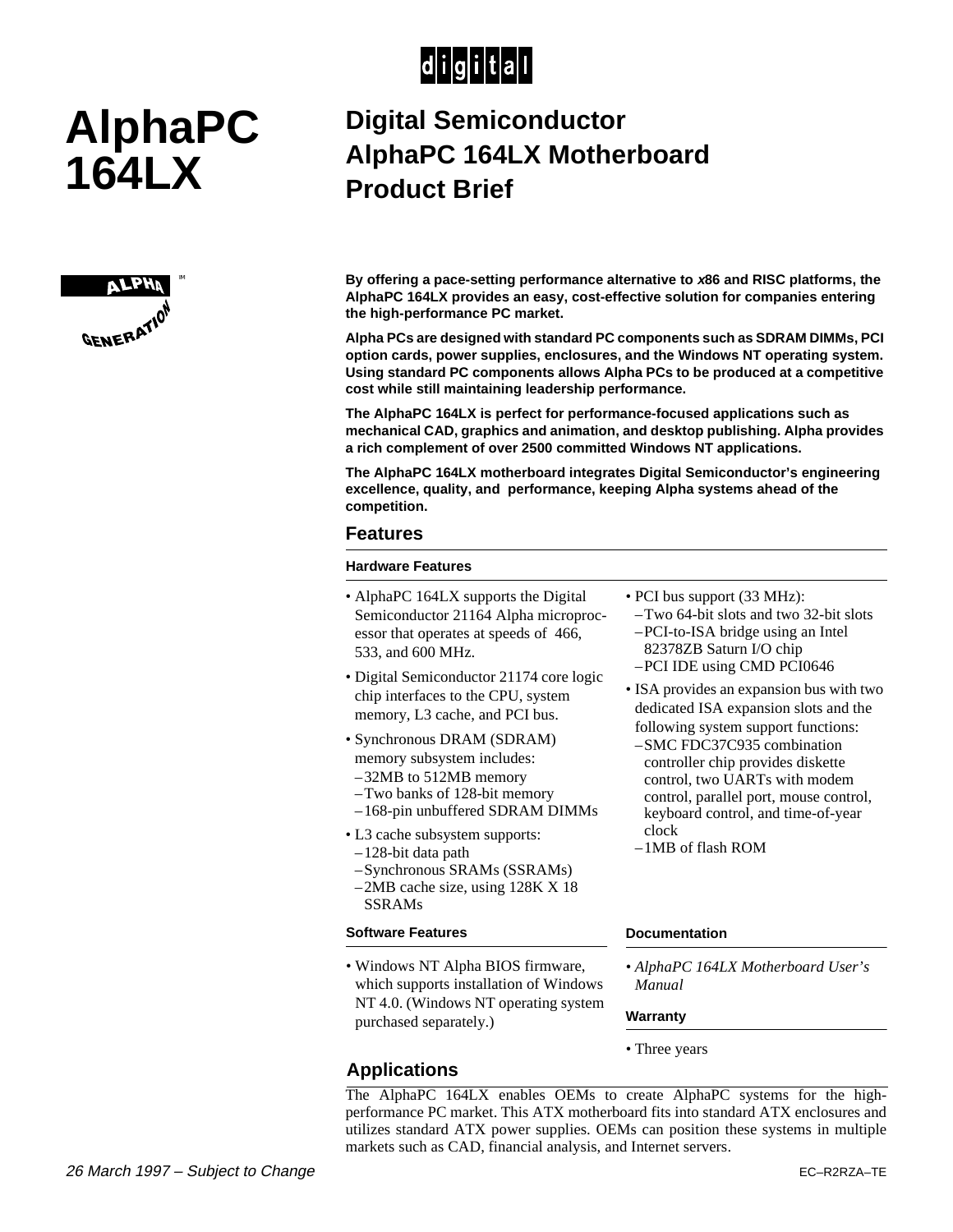## $|d|i|g|i|t|a|l|$

# **AlphaPC 164LX**



### **Digital Semiconductor AlphaPC 164LX Motherboard Product Brief**

**By offering a pace-setting performance alternative to x86 and RISC platforms, the AlphaPC 164LX provides an easy, cost-effective solution for companies entering the high-performance PC market.** 

**Alpha PCs are designed with standard PC components such as SDRAM DIMMs, PCI option cards, power supplies, enclosures, and the Windows NT operating system. Using standard PC components allows Alpha PCs to be produced at a competitive cost while still maintaining leadership performance.**

**The AlphaPC 164LX is perfect for performance-focused applications such as mechanical CAD, graphics and animation, and desktop publishing. Alpha provides a rich complement of over 2500 committed Windows NT applications.**

**The AlphaPC 164LX motherboard integrates Digital Semiconductor's engineering excellence, quality, and performance, keeping Alpha systems ahead of the competition.**

#### **Features**

#### **Hardware Features**

- AlphaPC 164LX supports the Digital Semiconductor 21164 Alpha microprocessor that operates at speeds of 466, 533, and 600 MHz.
- Digital Semiconductor 21174 core logic chip interfaces to the CPU, system memory, L3 cache, and PCI bus.
- Synchronous DRAM (SDRAM) memory subsystem includes: –32MB to 512MB memory
- –Two banks of 128-bit memory
- –168-pin unbuffered SDRAM DIMMs
- L3 cache subsystem supports:
- –128-bit data path
- –Synchronous SRAMs (SSRAMs)
- –2MB cache size, using 128K X 18 SSRAMs

#### **Software Features**

**Applications**

• Windows NT Alpha BIOS firmware, which supports installation of Windows NT 4.0. (Windows NT operating system purchased separately.)

- PCI bus support (33 MHz):
	- –Two 64-bit slots and two 32-bit slots –PCI-to-ISA bridge using an Intel 82378ZB Saturn I/O chip –PCI IDE using CMD PCI0646
- ISA provides an expansion bus with two dedicated ISA expansion slots and the following system support functions:
- –SMC FDC37C935 combination controller chip provides diskette control, two UARTs with modem control, parallel port, mouse control, keyboard control, and time-of-year clock
- –1MB of flash ROM

#### **Documentation**

*• AlphaPC 164LX Motherboard User's Manual*

#### **Warranty**

*•* Three years

#### The AlphaPC 164LX enables OEMs to create AlphaPC systems for the highperformance PC market. This ATX motherboard fits into standard ATX enclosures and utilizes standard ATX power supplies. OEMs can position these systems in multiple markets such as CAD, financial analysis, and Internet servers.